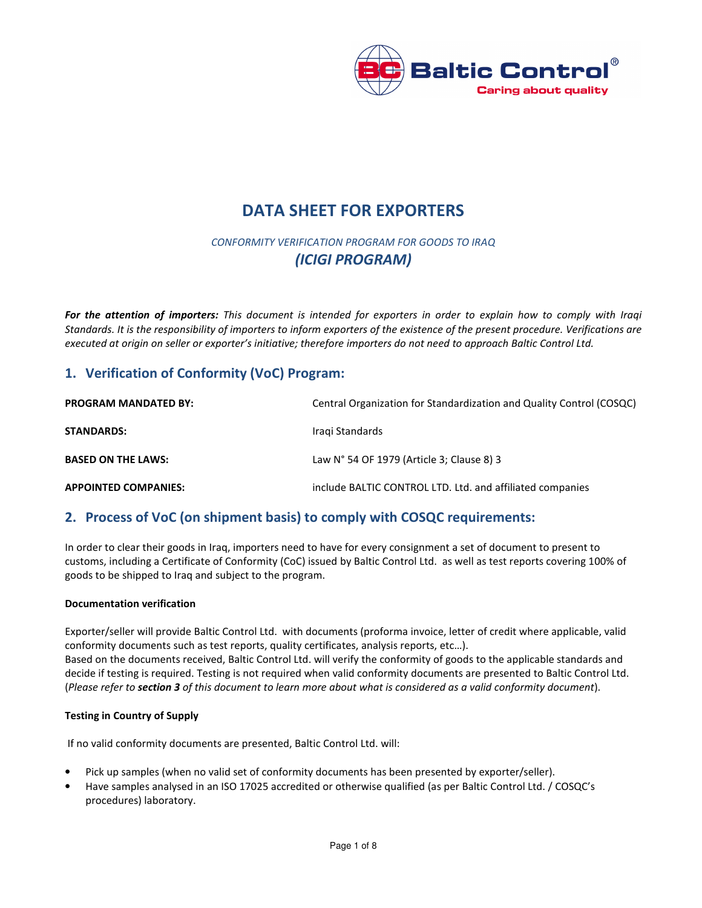

# DATA SHEET FOR EXPORTERS

## CONFORMITY VERIFICATION PROGRAM FOR GOODS TO IRAQ (ICIGI PROGRAM)

For the attention of importers: This document is intended for exporters in order to explain how to comply with Iraqi Standards. It is the responsibility of importers to inform exporters of the existence of the present procedure. Verifications are executed at origin on seller or exporter's initiative; therefore importers do not need to approach Baltic Control Ltd.

## 1. Verification of Conformity (VoC) Program:

| <b>PROGRAM MANDATED BY:</b> | Central Organization for Standardization and Quality Control (COSQC) |  |
|-----------------------------|----------------------------------------------------------------------|--|
| <b>STANDARDS:</b>           | Iragi Standards                                                      |  |
| <b>BASED ON THE LAWS:</b>   | Law N° 54 OF 1979 (Article 3; Clause 8) 3                            |  |
| <b>APPOINTED COMPANIES:</b> | include BALTIC CONTROL LTD. Ltd. and affiliated companies            |  |

## 2. Process of VoC (on shipment basis) to comply with COSQC requirements:

In order to clear their goods in Iraq, importers need to have for every consignment a set of document to present to customs, including a Certificate of Conformity (CoC) issued by Baltic Control Ltd. as well as test reports covering 100% of goods to be shipped to Iraq and subject to the program.

#### Documentation verification

Exporter/seller will provide Baltic Control Ltd. with documents (proforma invoice, letter of credit where applicable, valid conformity documents such as test reports, quality certificates, analysis reports, etc…). Based on the documents received, Baltic Control Ltd. will verify the conformity of goods to the applicable standards and decide if testing is required. Testing is not required when valid conformity documents are presented to Baltic Control Ltd. (Please refer to section 3 of this document to learn more about what is considered as a valid conformity document).

#### Testing in Country of Supply

If no valid conformity documents are presented, Baltic Control Ltd. will:

- Pick up samples (when no valid set of conformity documents has been presented by exporter/seller).
- Have samples analysed in an ISO 17025 accredited or otherwise qualified (as per Baltic Control Ltd. / COSQC's procedures) laboratory.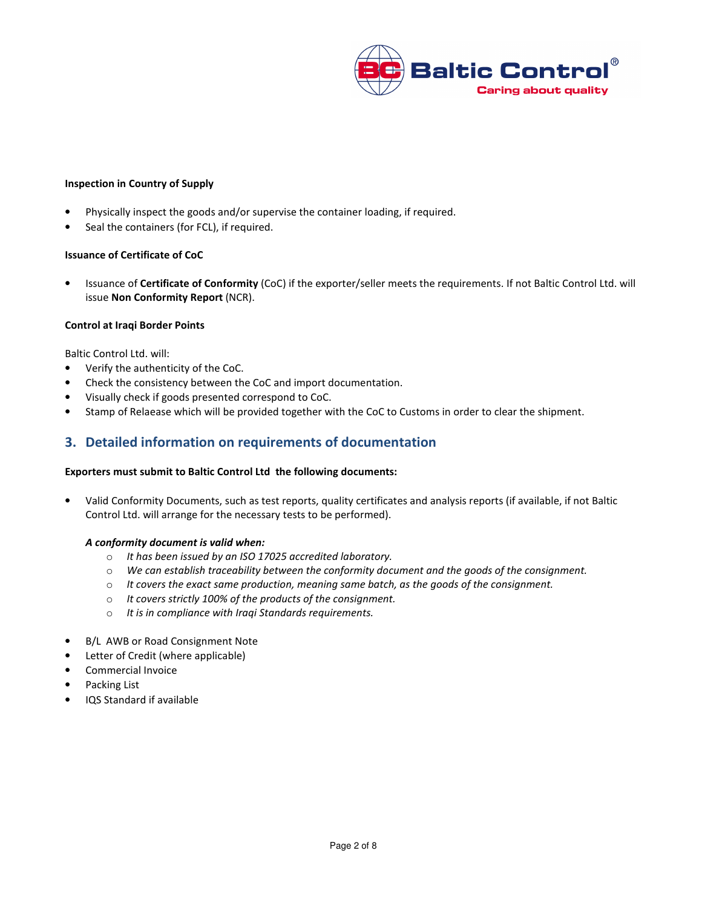

#### Inspection in Country of Supply

- Physically inspect the goods and/or supervise the container loading, if required.
- Seal the containers (for FCL), if required.

#### Issuance of Certificate of CoC

• Issuance of Certificate of Conformity (CoC) if the exporter/seller meets the requirements. If not Baltic Control Ltd. will issue Non Conformity Report (NCR).

#### Control at Iraqi Border Points

Baltic Control Ltd. will:

- Verify the authenticity of the CoC.
- Check the consistency between the CoC and import documentation.
- Visually check if goods presented correspond to CoC.
- Stamp of Relaease which will be provided together with the CoC to Customs in order to clear the shipment.

## 3. Detailed information on requirements of documentation

#### Exporters must submit to Baltic Control Ltd the following documents:

• Valid Conformity Documents, such as test reports, quality certificates and analysis reports (if available, if not Baltic Control Ltd. will arrange for the necessary tests to be performed).

#### A conformity document is valid when:

- o It has been issued by an ISO 17025 accredited laboratory.
- o We can establish traceability between the conformity document and the goods of the consignment.
- $\circ$  It covers the exact same production, meaning same batch, as the goods of the consignment.
- o It covers strictly 100% of the products of the consignment.
- o It is in compliance with Iraqi Standards requirements.
- B/L AWB or Road Consignment Note
- Letter of Credit (where applicable)
- Commercial Invoice
- Packing List
- IQS Standard if available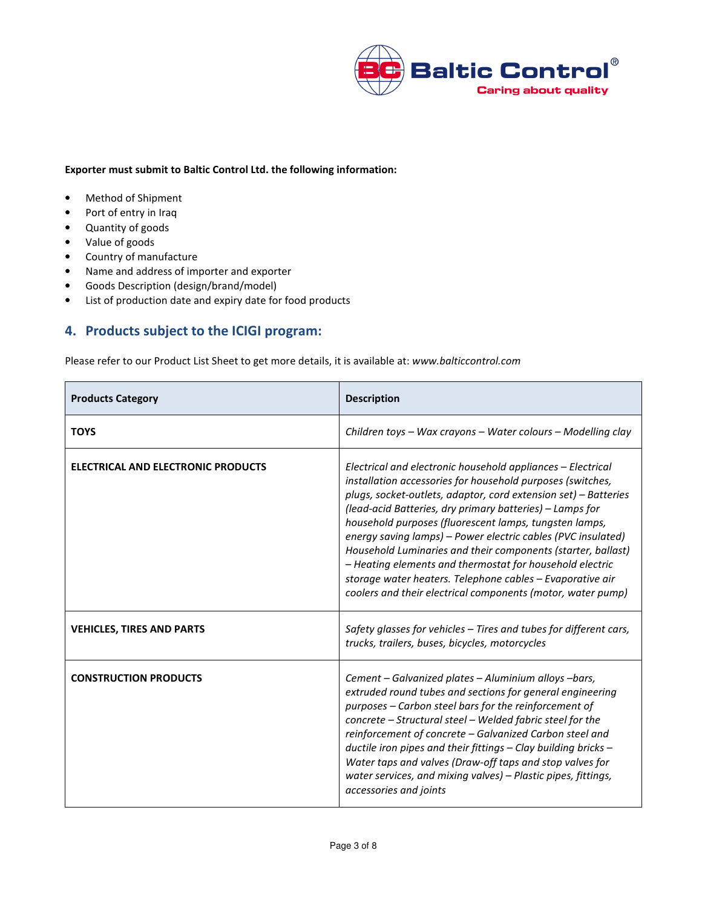

#### Exporter must submit to Baltic Control Ltd. the following information:

- Method of Shipment
- Port of entry in Iraq
- Quantity of goods
- Value of goods
- Country of manufacture
- Name and address of importer and exporter
- Goods Description (design/brand/model)
- List of production date and expiry date for food products

## 4. Products subject to the ICIGI program:

Please refer to our Product List Sheet to get more details, it is available at: www.balticcontrol.com

| <b>Products Category</b>                  | <b>Description</b>                                                                                                                                                                                                                                                                                                                                                                                                                                                                                                                                                                                                                         |
|-------------------------------------------|--------------------------------------------------------------------------------------------------------------------------------------------------------------------------------------------------------------------------------------------------------------------------------------------------------------------------------------------------------------------------------------------------------------------------------------------------------------------------------------------------------------------------------------------------------------------------------------------------------------------------------------------|
| <b>TOYS</b>                               | Children toys – Wax crayons – Water colours – Modelling clay                                                                                                                                                                                                                                                                                                                                                                                                                                                                                                                                                                               |
| <b>ELECTRICAL AND ELECTRONIC PRODUCTS</b> | Electrical and electronic household appliances - Electrical<br>installation accessories for household purposes (switches,<br>plugs, socket-outlets, adaptor, cord extension set) - Batteries<br>(lead-acid Batteries, dry primary batteries) - Lamps for<br>household purposes (fluorescent lamps, tungsten lamps,<br>energy saving lamps) - Power electric cables (PVC insulated)<br>Household Luminaries and their components (starter, ballast)<br>- Heating elements and thermostat for household electric<br>storage water heaters. Telephone cables – Evaporative air<br>coolers and their electrical components (motor, water pump) |
| <b>VEHICLES, TIRES AND PARTS</b>          | Safety glasses for vehicles - Tires and tubes for different cars,<br>trucks, trailers, buses, bicycles, motorcycles                                                                                                                                                                                                                                                                                                                                                                                                                                                                                                                        |
| <b>CONSTRUCTION PRODUCTS</b>              | Cement – Galvanized plates – Aluminium alloys –bars,<br>extruded round tubes and sections for general engineering<br>purposes - Carbon steel bars for the reinforcement of<br>concrete - Structural steel - Welded fabric steel for the<br>reinforcement of concrete - Galvanized Carbon steel and<br>ductile iron pipes and their fittings - Clay building bricks -<br>Water taps and valves (Draw-off taps and stop valves for<br>water services, and mixing valves) – Plastic pipes, fittings,<br>accessories and joints                                                                                                                |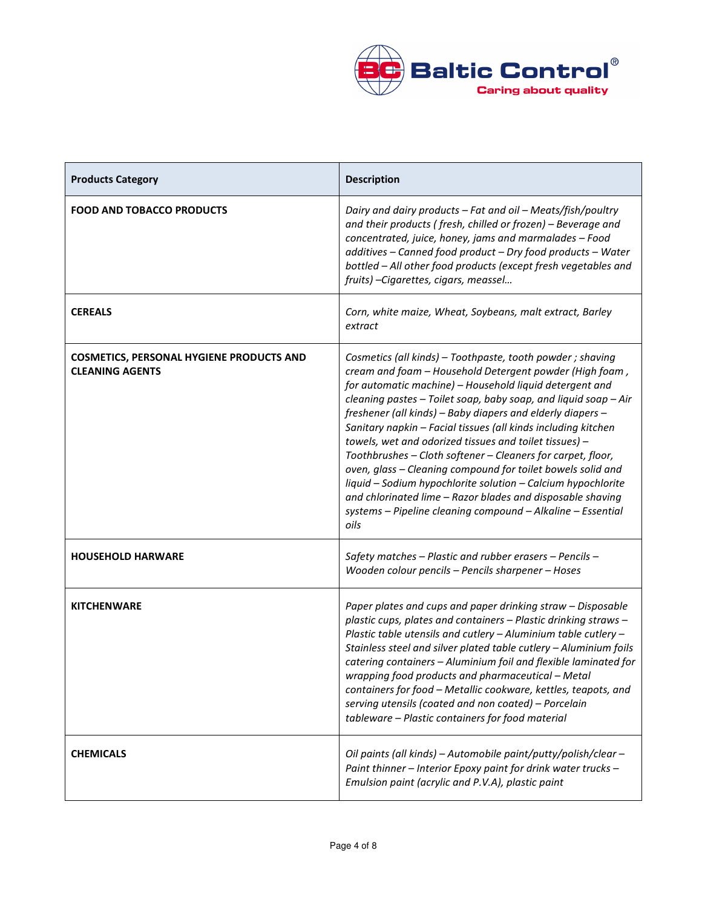

| <b>Products Category</b>                                                  | <b>Description</b>                                                                                                                                                                                                                                                                                                                                                                                                                                                                                                                                                                                                                                                                                                                                                              |
|---------------------------------------------------------------------------|---------------------------------------------------------------------------------------------------------------------------------------------------------------------------------------------------------------------------------------------------------------------------------------------------------------------------------------------------------------------------------------------------------------------------------------------------------------------------------------------------------------------------------------------------------------------------------------------------------------------------------------------------------------------------------------------------------------------------------------------------------------------------------|
| <b>FOOD AND TOBACCO PRODUCTS</b>                                          | Dairy and dairy products - Fat and oil - Meats/fish/poultry<br>and their products (fresh, chilled or frozen) - Beverage and<br>concentrated, juice, honey, jams and marmalades - Food<br>additives - Canned food product - Dry food products - Water<br>bottled - All other food products (except fresh vegetables and<br>fruits) - Cigarettes, cigars, meassel                                                                                                                                                                                                                                                                                                                                                                                                                 |
| <b>CEREALS</b>                                                            | Corn, white maize, Wheat, Soybeans, malt extract, Barley<br>extract                                                                                                                                                                                                                                                                                                                                                                                                                                                                                                                                                                                                                                                                                                             |
| <b>COSMETICS, PERSONAL HYGIENE PRODUCTS AND</b><br><b>CLEANING AGENTS</b> | Cosmetics (all kinds) - Toothpaste, tooth powder ; shaving<br>cream and foam - Household Detergent powder (High foam,<br>for automatic machine) - Household liquid detergent and<br>cleaning pastes - Toilet soap, baby soap, and liquid soap - Air<br>freshener (all kinds) - Baby diapers and elderly diapers -<br>Sanitary napkin - Facial tissues (all kinds including kitchen<br>towels, wet and odorized tissues and toilet tissues) -<br>Toothbrushes - Cloth softener - Cleaners for carpet, floor,<br>oven, glass - Cleaning compound for toilet bowels solid and<br>liquid - Sodium hypochlorite solution - Calcium hypochlorite<br>and chlorinated lime - Razor blades and disposable shaving<br>systems - Pipeline cleaning compound - Alkaline - Essential<br>oils |
| <b>HOUSEHOLD HARWARE</b>                                                  | Safety matches - Plastic and rubber erasers - Pencils -<br>Wooden colour pencils - Pencils sharpener - Hoses                                                                                                                                                                                                                                                                                                                                                                                                                                                                                                                                                                                                                                                                    |
| <b>KITCHENWARE</b>                                                        | Paper plates and cups and paper drinking straw - Disposable<br>plastic cups, plates and containers - Plastic drinking straws -<br>Plastic table utensils and cutlery - Aluminium table cutlery -<br>Stainless steel and silver plated table cutlery - Aluminium foils<br>catering containers - Aluminium foil and flexible laminated for<br>wrapping food products and pharmaceutical - Metal<br>containers for food - Metallic cookware, kettles, teapots, and<br>serving utensils (coated and non coated) - Porcelain<br>tableware - Plastic containers for food material                                                                                                                                                                                                     |
| <b>CHEMICALS</b>                                                          | Oil paints (all kinds) - Automobile paint/putty/polish/clear -<br>Paint thinner - Interior Epoxy paint for drink water trucks -<br>Emulsion paint (acrylic and P.V.A), plastic paint                                                                                                                                                                                                                                                                                                                                                                                                                                                                                                                                                                                            |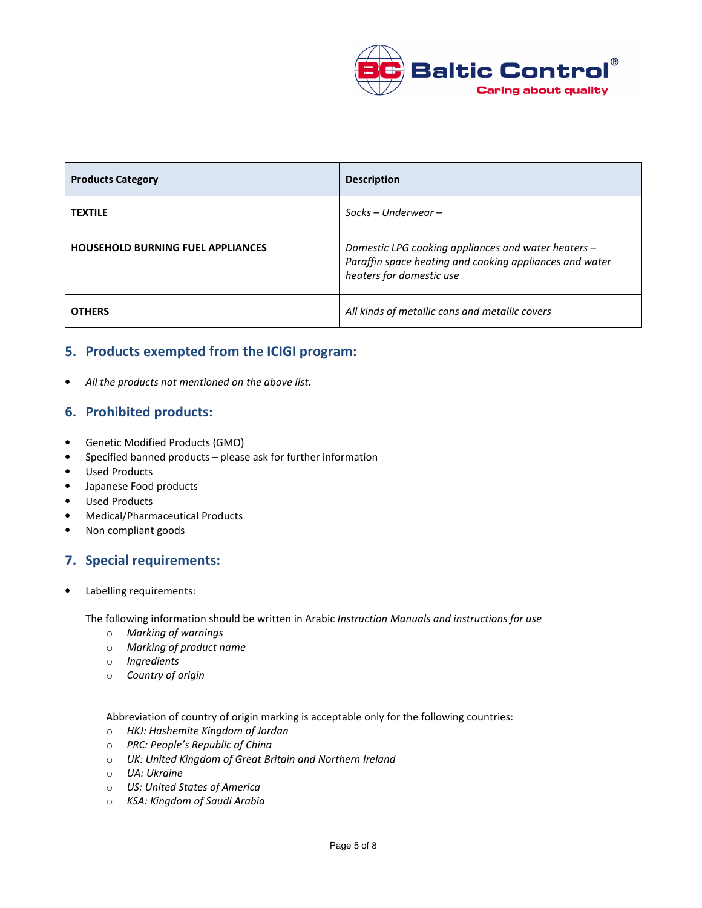

| <b>Products Category</b>                 | <b>Description</b>                                                                                                                         |
|------------------------------------------|--------------------------------------------------------------------------------------------------------------------------------------------|
| <b>TEXTILE</b>                           | $Socks$ – Underwear –                                                                                                                      |
| <b>HOUSEHOLD BURNING FUEL APPLIANCES</b> | Domestic LPG cooking appliances and water heaters -<br>Paraffin space heating and cooking appliances and water<br>heaters for domestic use |
| <b>OTHERS</b>                            | All kinds of metallic cans and metallic covers                                                                                             |

## 5. Products exempted from the ICIGI program:

All the products not mentioned on the above list.

### 6. Prohibited products:

- Genetic Modified Products (GMO)
- Specified banned products please ask for further information
- Used Products
- Japanese Food products
- Used Products
- Medical/Pharmaceutical Products
- Non compliant goods

## 7. Special requirements:

Labelling requirements:

The following information should be written in Arabic Instruction Manuals and instructions for use

- o Marking of warnings
- o Marking of product name
- o Ingredients
- o Country of origin

Abbreviation of country of origin marking is acceptable only for the following countries:

- o HKJ: Hashemite Kingdom of Jordan
- o PRC: People's Republic of China
- o UK: United Kingdom of Great Britain and Northern Ireland
- o UA: Ukraine
- o US: United States of America
- o KSA: Kingdom of Saudi Arabia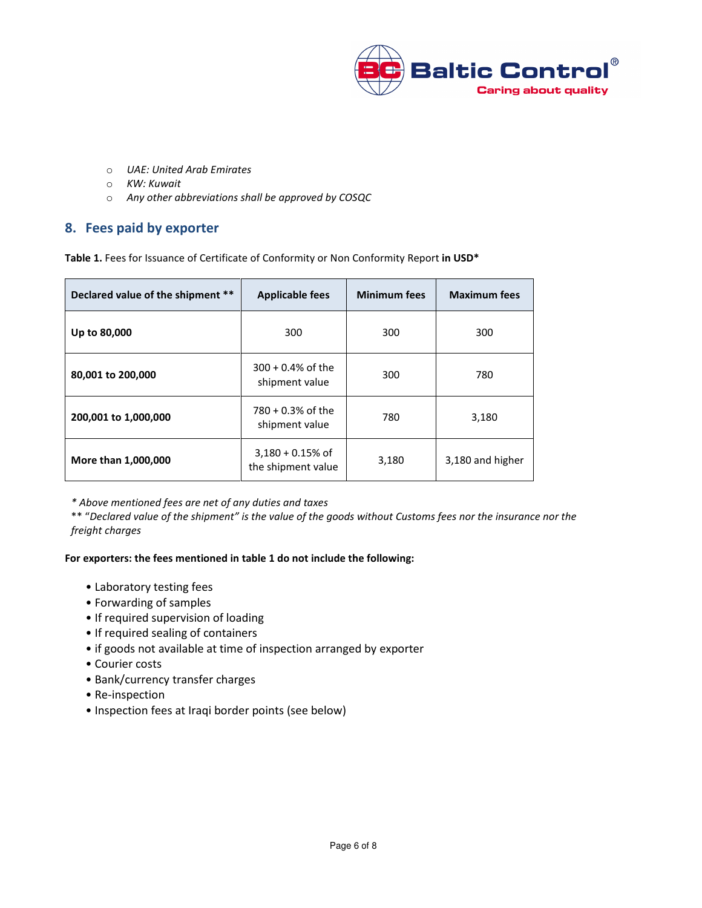

- o UAE: United Arab Emirates
- o KW: Kuwait
- o Any other abbreviations shall be approved by COSQC

### 8. Fees paid by exporter

Table 1. Fees for Issuance of Certificate of Conformity or Non Conformity Report in USD\*

| Declared value of the shipment ** | <b>Applicable fees</b>                   | <b>Minimum fees</b> | <b>Maximum fees</b> |  |
|-----------------------------------|------------------------------------------|---------------------|---------------------|--|
| Up to 80,000                      | 300                                      | 300                 | 300                 |  |
| 80,001 to 200,000                 | $300 + 0.4\%$ of the<br>shipment value   | 300                 | 780                 |  |
| 200,001 to 1,000,000              | $780 + 0.3%$ of the<br>shipment value    | 780                 | 3,180               |  |
| More than 1,000,000               | $3,180 + 0.15%$ of<br>the shipment value | 3,180               | 3,180 and higher    |  |

\* Above mentioned fees are net of any duties and taxes

\*\* "Declared value of the shipment" is the value of the goods without Customs fees nor the insurance nor the freight charges

#### For exporters: the fees mentioned in table 1 do not include the following:

- Laboratory testing fees
- Forwarding of samples
- If required supervision of loading
- If required sealing of containers
- if goods not available at time of inspection arranged by exporter
- Courier costs
- Bank/currency transfer charges
- Re-inspection
- Inspection fees at Iraqi border points (see below)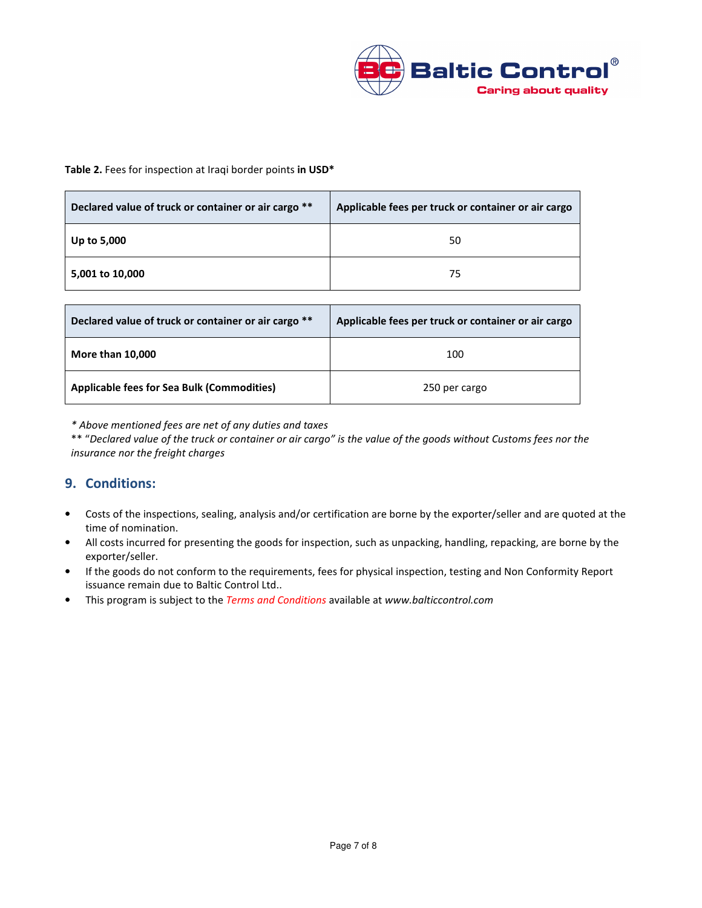

#### Table 2. Fees for inspection at Iraqi border points in USD\*

| Declared value of truck or container or air cargo ** | Applicable fees per truck or container or air cargo |  |  |
|------------------------------------------------------|-----------------------------------------------------|--|--|
| Up to 5,000                                          | 50                                                  |  |  |
| 5,001 to 10,000                                      | 75                                                  |  |  |

| Declared value of truck or container or air cargo ** | Applicable fees per truck or container or air cargo |
|------------------------------------------------------|-----------------------------------------------------|
| <b>More than 10,000</b>                              | 100                                                 |
| <b>Applicable fees for Sea Bulk (Commodities)</b>    | 250 per cargo                                       |

\* Above mentioned fees are net of any duties and taxes

\*\* "Declared value of the truck or container or air cargo" is the value of the goods without Customs fees nor the insurance nor the freight charges

## 9. Conditions:

- Costs of the inspections, sealing, analysis and/or certification are borne by the exporter/seller and are quoted at the time of nomination.
- All costs incurred for presenting the goods for inspection, such as unpacking, handling, repacking, are borne by the exporter/seller.
- If the goods do not conform to the requirements, fees for physical inspection, testing and Non Conformity Report issuance remain due to Baltic Control Ltd..
- This program is subject to the Terms and Conditions available at www.balticcontrol.com